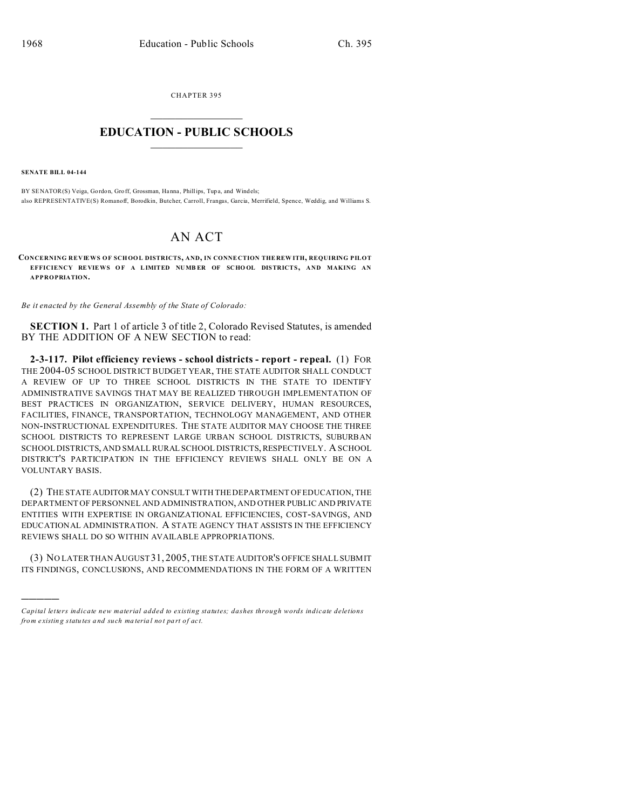CHAPTER 395  $\overline{\phantom{a}}$  , where  $\overline{\phantom{a}}$ 

## **EDUCATION - PUBLIC SCHOOLS**  $\_$   $\_$   $\_$   $\_$   $\_$   $\_$   $\_$   $\_$   $\_$

**SENATE BILL 04-144**

)))))

BY SENATOR(S) Veiga, Gordon, Groff, Grossman, Hanna, Phillips, Tup a, and Windels; also REPRESENTATIVE(S) Romanoff, Borodkin, Butcher, Carroll, Frangas, Garcia, Merrifield, Spence, Weddig, and Williams S.

## AN ACT

**CONCERNING REVIEWS OF SCHOOL DISTRICTS, AND, IN CONNE CTION THE REW ITH, REQUIRING PILOT EFFICIENCY RE VIEWS O F A LIMITED NUMB ER OF SCHO OL DISTRICTS, AND MAKING AN APPROPRIATION.**

*Be it enacted by the General Assembly of the State of Colorado:*

**SECTION 1.** Part 1 of article 3 of title 2, Colorado Revised Statutes, is amended BY THE ADDITION OF A NEW SECTION to read:

**2-3-117. Pilot efficiency reviews - school districts - report - repeal.** (1) FOR THE 2004-05 SCHOOL DISTRICT BUDGET YEAR, THE STATE AUDITOR SHALL CONDUCT A REVIEW OF UP TO THREE SCHOOL DISTRICTS IN THE STATE TO IDENTIFY ADMINISTRATIVE SAVINGS THAT MAY BE REALIZED THROUGH IMPLEMENTATION OF BEST PRACTICES IN ORGANIZATION, SERVICE DELIVERY, HUMAN RESOURCES, FACILITIES, FINANCE, TRANSPORTATION, TECHNOLOGY MANAGEMENT, AND OTHER NON-INSTRUCTIONAL EXPENDITURES. THE STATE AUDITOR MAY CHOOSE THE THREE SCHOOL DISTRICTS TO REPRESENT LARGE URBAN SCHOOL DISTRICTS, SUBURBAN SCHOOL DISTRICTS, AND SMALL RURAL SCHOOL DISTRICTS, RESPECTIVELY. A SCHOOL DISTRICT'S PARTICIPATION IN THE EFFICIENCY REVIEWS SHALL ONLY BE ON A VOLUNTARY BASIS.

(2) THE STATE AUDITOR MAY CONSULT WITH THE DEPARTMENT OF EDUCATION, THE DEPARTMENT OF PERSONNEL AND ADMINISTRATION, AND OTHER PUBLIC AND PRIVATE ENTITIES WITH EXPERTISE IN ORGANIZATIONAL EFFICIENCIES, COST-SAVINGS, AND EDUCATIONAL ADMINISTRATION. A STATE AGENCY THAT ASSISTS IN THE EFFICIENCY REVIEWS SHALL DO SO WITHIN AVAILABLE APPROPRIATIONS.

(3) NO LATER THAN AUGUST 31, 2005, THE STATE AUDITOR'S OFFICE SHALL SUBMIT ITS FINDINGS, CONCLUSIONS, AND RECOMMENDATIONS IN THE FORM OF A WRITTEN

*Capital letters indicate new material added to existing statutes; dashes through words indicate deletions from e xistin g statu tes a nd such ma teria l no t pa rt of ac t.*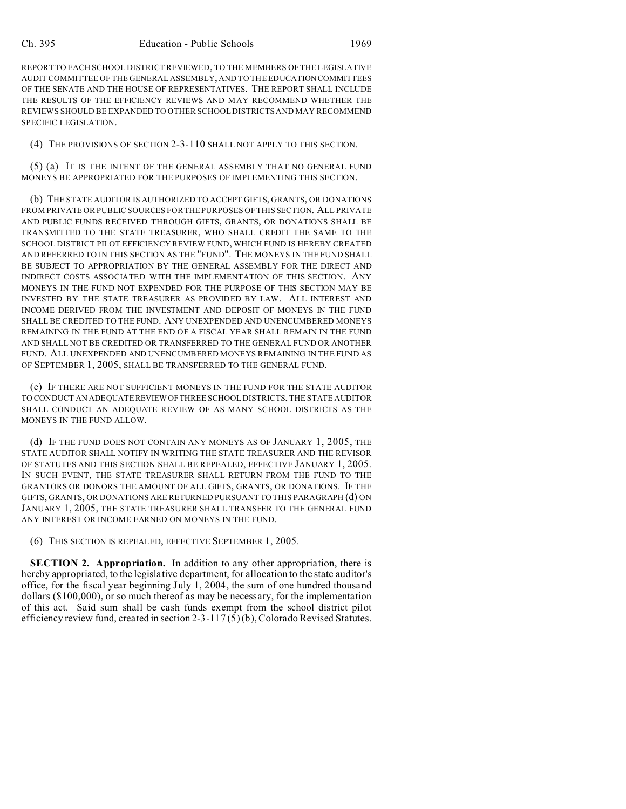REPORT TO EACH SCHOOL DISTRICT REVIEWED, TO THE MEMBERS OF THE LEGISLATIVE AUDIT COMMITTEE OF THE GENERAL ASSEMBLY, AND TO THE EDUCATIONCOMMITTEES OF THE SENATE AND THE HOUSE OF REPRESENTATIVES. THE REPORT SHALL INCLUDE THE RESULTS OF THE EFFICIENCY REVIEWS AND MAY RECOMMEND WHETHER THE REVIEWS SHOULD BE EXPANDED TO OTHER SCHOOL DISTRICTS AND MAY RECOMMEND SPECIFIC LEGISLATION.

(4) THE PROVISIONS OF SECTION 2-3-110 SHALL NOT APPLY TO THIS SECTION.

(5) (a) IT IS THE INTENT OF THE GENERAL ASSEMBLY THAT NO GENERAL FUND MONEYS BE APPROPRIATED FOR THE PURPOSES OF IMPLEMENTING THIS SECTION.

(b) THE STATE AUDITOR IS AUTHORIZED TO ACCEPT GIFTS, GRANTS, OR DONATIONS FROM PRIVATE OR PUBLIC SOURCES FOR THE PURPOSES OF THIS SECTION. ALL PRIVATE AND PUBLIC FUNDS RECEIVED THROUGH GIFTS, GRANTS, OR DONATIONS SHALL BE TRANSMITTED TO THE STATE TREASURER, WHO SHALL CREDIT THE SAME TO THE SCHOOL DISTRICT PILOT EFFICIENCY REVIEW FUND, WHICH FUND IS HEREBY CREATED AND REFERRED TO IN THIS SECTION AS THE "FUND". THE MONEYS IN THE FUND SHALL BE SUBJECT TO APPROPRIATION BY THE GENERAL ASSEMBLY FOR THE DIRECT AND INDIRECT COSTS ASSOCIATED WITH THE IMPLEMENTATION OF THIS SECTION. ANY MONEYS IN THE FUND NOT EXPENDED FOR THE PURPOSE OF THIS SECTION MAY BE INVESTED BY THE STATE TREASURER AS PROVIDED BY LAW. ALL INTEREST AND INCOME DERIVED FROM THE INVESTMENT AND DEPOSIT OF MONEYS IN THE FUND SHALL BE CREDITED TO THE FUND. ANY UNEXPENDED AND UNENCUMBERED MONEYS REMAINING IN THE FUND AT THE END OF A FISCAL YEAR SHALL REMAIN IN THE FUND AND SHALL NOT BE CREDITED OR TRANSFERRED TO THE GENERAL FUND OR ANOTHER FUND. ALL UNEXPENDED AND UNENCUMBERED MONEYS REMAINING IN THE FUND AS OF SEPTEMBER 1, 2005, SHALL BE TRANSFERRED TO THE GENERAL FUND.

(c) IF THERE ARE NOT SUFFICIENT MONEYS IN THE FUND FOR THE STATE AUDITOR TO CONDUCT AN ADEQUATEREVIEWOFTHREE SCHOOL DISTRICTS, THE STATE AUDITOR SHALL CONDUCT AN ADEQUATE REVIEW OF AS MANY SCHOOL DISTRICTS AS THE MONEYS IN THE FUND ALLOW.

(d) IF THE FUND DOES NOT CONTAIN ANY MONEYS AS OF JANUARY 1, 2005, THE STATE AUDITOR SHALL NOTIFY IN WRITING THE STATE TREASURER AND THE REVISOR OF STATUTES AND THIS SECTION SHALL BE REPEALED, EFFECTIVE JANUARY 1, 2005. IN SUCH EVENT, THE STATE TREASURER SHALL RETURN FROM THE FUND TO THE GRANTORS OR DONORS THE AMOUNT OF ALL GIFTS, GRANTS, OR DONATIONS. IF THE GIFTS, GRANTS, OR DONATIONS ARE RETURNED PURSUANT TO THIS PARAGRAPH (d) ON JANUARY 1, 2005, THE STATE TREASURER SHALL TRANSFER TO THE GENERAL FUND ANY INTEREST OR INCOME EARNED ON MONEYS IN THE FUND.

(6) THIS SECTION IS REPEALED, EFFECTIVE SEPTEMBER 1, 2005.

**SECTION 2. Appropriation.** In addition to any other appropriation, there is hereby appropriated, to the legislative department, for allocation to the state auditor's office, for the fiscal year beginning July 1, 2004, the sum of one hundred thousand dollars (\$100,000), or so much thereof as may be necessary, for the implementation of this act. Said sum shall be cash funds exempt from the school district pilot efficiency review fund, created in section 2-3-117 (5) (b), Colorado Revised Statutes.